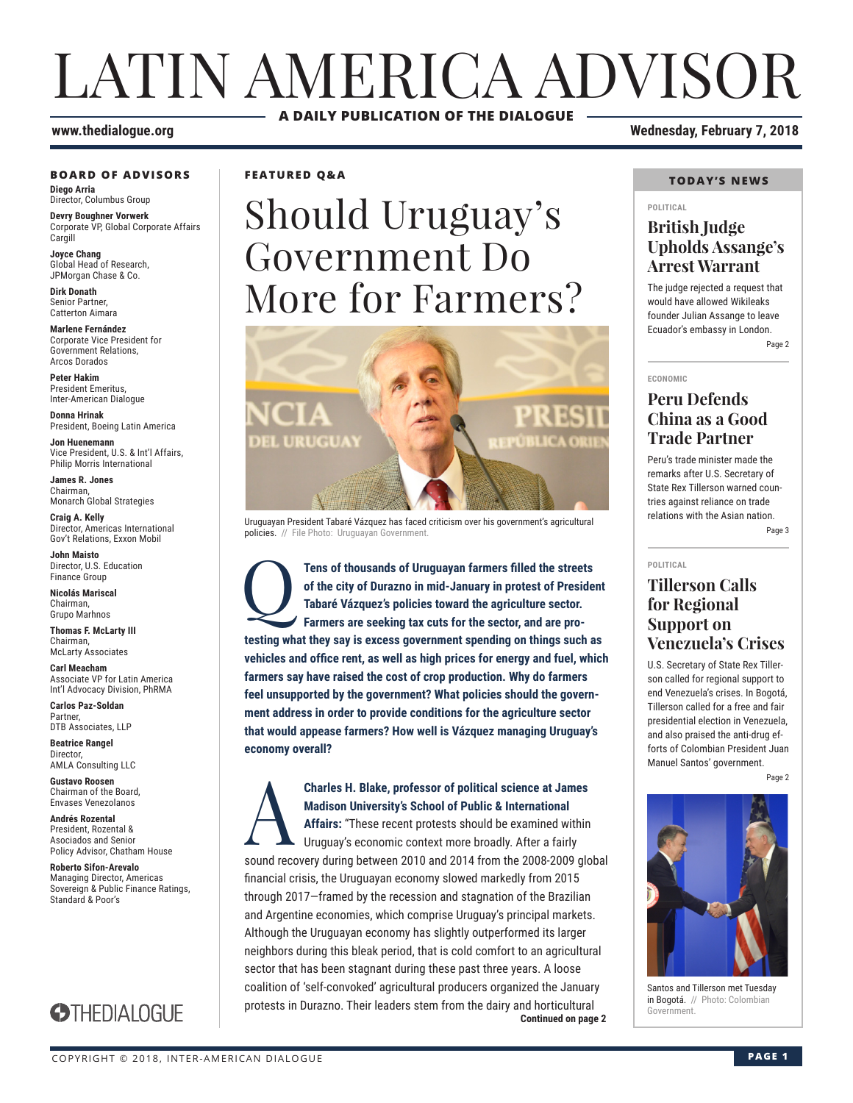# LATIN AMERICA ADVISOR **A DAILY PUBLICATION OF THE DIALOGUE**

#### **BOARD OF ADVISORS**

**Diego Arria** Director, Columbus Group

**Devry Boughner Vorwerk** Corporate VP, Global Corporate Affairs Cargill

**Joyce Chang** Global Head of Research, JPMorgan Chase & Co.

**Dirk Donath** Senior Partner, Catterton Aimara

**Marlene Fernández** Corporate Vice President for Government Relations, Arcos Dorados

**Peter Hakim** President Emeritus, Inter-American Dialogue

**Donna Hrinak** President, Boeing Latin America

**Jon Huenemann** Vice President, U.S. & Int'l Affairs, Philip Morris International

**James R. Jones** Chairman, Monarch Global Strategies

**Craig A. Kelly** Director, Americas International Gov't Relations, Exxon Mobil

**John Maisto** Director, U.S. Education Finance Group

**Nicolás Mariscal** Chairman, Grupo Marhnos

**Thomas F. McLarty III** Chairman, McLarty Associates

**Carl Meacham** Associate VP for Latin America Int'l Advocacy Division, PhRMA

**Carlos Paz-Soldan** Partner, DTB Associates, LLP

**Beatrice Rangel Director** AMLA Consulting LLC

**Gustavo Roosen** Chairman of the Board, Envases Venezolanos

**Andrés Rozental**  President, Rozental & Asociados and Senior Policy Advisor, Chatham House

**Roberto Sifon-Arevalo** Managing Director, Americas Sovereign & Public Finance Ratings, Standard & Poor's



**FEATURED Q&A**

# Should Uruguay's Government Do More for Farmers?



Uruguayan President Tabaré Vázquez has faced criticism over his government's agricultural policies. // File Photo: Uruguayan Government.

Tens of thousands of Uruguayan farmers filled the streets of the city of Durazno in mid-January in protest of Preside Tabaré Vázquez's policies toward the agriculture sector.<br>Farmers are seeking tax cuts for the sector, an **of the city of Durazno in mid-January in protest of President Tabaré Vázquez's policies toward the agriculture sector. Farmers are seeking tax cuts for the sector, and are protesting what they say is excess government spending on things such as vehicles and office rent, as well as high prices for energy and fuel, which farmers say have raised the cost of crop production. Why do farmers feel unsupported by the government? What policies should the government address in order to provide conditions for the agriculture sector that would appease farmers? How well is Vázquez managing Uruguay's economy overall?**

**Continued on page 2 Charles H. Blake, professor of political science at James<br>Madison University's School of Public & International<br>Affairs: "These recent protests should be examined within<br>Uruguay's economic context more broadly. After a fa Madison University's School of Public & International Affairs:** "These recent protests should be examined within Uruguay's economic context more broadly. After a fairly sound recovery during between 2010 and 2014 from the 2008-2009 global financial crisis, the Uruguayan economy slowed markedly from 2015 through 2017—framed by the recession and stagnation of the Brazilian and Argentine economies, which comprise Uruguay's principal markets. Although the Uruguayan economy has slightly outperformed its larger neighbors during this bleak period, that is cold comfort to an agricultural sector that has been stagnant during these past three years. A loose coalition of 'self-convoked' agricultural producers organized the January protests in Durazno. Their leaders stem from the dairy and horticultural

**www.thedialogue.org Wednesday, February 7, 2018**

#### **TODAY'S NEWS**

#### **POLITICAL**

### **British Judge Upholds Assange's Arrest Warrant**

The judge rejected a request that would have allowed Wikileaks founder Julian Assange to leave Ecuador's embassy in London.

Page 2

**ECONOMIC**

### **Peru Defends China as a Good Trade Partner**

Peru's trade minister made the remarks after U.S. Secretary of State Rex Tillerson warned countries against reliance on trade relations with the Asian nation.

Page 3

#### **POLITICAL**

### **Tillerson Calls for Regional Support on Venezuela's Crises**

U.S. Secretary of State Rex Tillerson called for regional support to end Venezuela's crises. In Bogotá, Tillerson called for a free and fair presidential election in Venezuela, and also praised the anti-drug efforts of Colombian President Juan Manuel Santos' government.

Page 2



Santos and Tillerson met Tuesday in Bogotá. // Photo: Colombian Government.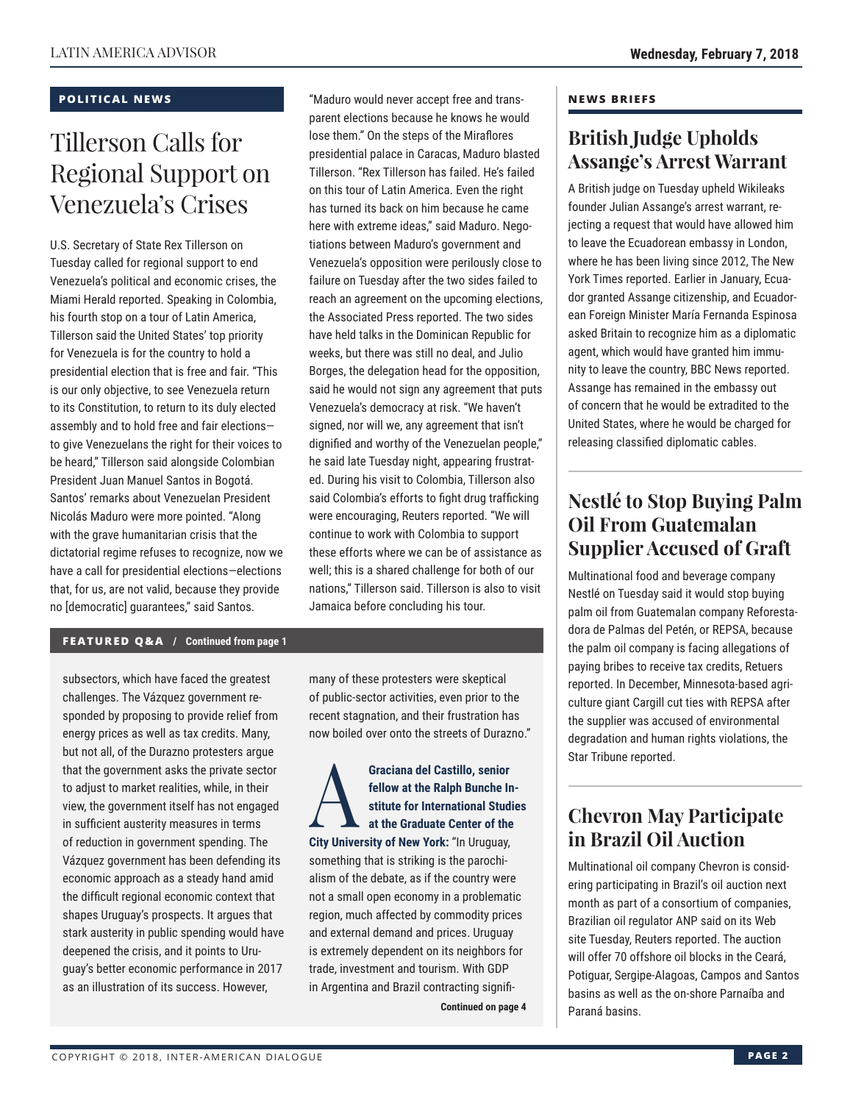### **POLITICAL NEWS**

# Tillerson Calls for Regional Support on Venezuela's Crises

U.S. Secretary of State Rex Tillerson on Tuesday called for regional support to end Venezuela's political and economic crises, the Miami Herald reported. Speaking in Colombia, his fourth stop on a tour of Latin America, Tillerson said the United States' top priority for Venezuela is for the country to hold a presidential election that is free and fair. "This is our only objective, to see Venezuela return to its Constitution, to return to its duly elected assembly and to hold free and fair elections to give Venezuelans the right for their voices to be heard," Tillerson said alongside Colombian President Juan Manuel Santos in Bogotá. Santos' remarks about Venezuelan President Nicolás Maduro were more pointed. "Along with the grave humanitarian crisis that the dictatorial regime refuses to recognize, now we have a call for presidential elections—elections that, for us, are not valid, because they provide no [democratic] guarantees," said Santos.

"Maduro would never accept free and transparent elections because he knows he would lose them." On the steps of the Miraflores presidential palace in Caracas, Maduro blasted Tillerson. "Rex Tillerson has failed. He's failed on this tour of Latin America. Even the right has turned its back on him because he came here with extreme ideas," said Maduro. Negotiations between Maduro's government and Venezuela's opposition were perilously close to failure on Tuesday after the two sides failed to reach an agreement on the upcoming elections, the Associated Press reported. The two sides have held talks in the Dominican Republic for weeks, but there was still no deal, and Julio Borges, the delegation head for the opposition, said he would not sign any agreement that puts Venezuela's democracy at risk. "We haven't signed, nor will we, any agreement that isn't dignified and worthy of the Venezuelan people," he said late Tuesday night, appearing frustrated. During his visit to Colombia, Tillerson also said Colombia's efforts to fight drug trafficking were encouraging, Reuters reported. "We will continue to work with Colombia to support these efforts where we can be of assistance as well; this is a shared challenge for both of our nations," Tillerson said. Tillerson is also to visit Jamaica before concluding his tour.

### **FEATURED Q&A / Continued from page 1**

subsectors, which have faced the greatest challenges. The Vázquez government responded by proposing to provide relief from energy prices as well as tax credits. Many, but not all, of the Durazno protesters argue that the government asks the private sector to adjust to market realities, while, in their view, the government itself has not engaged in sufficient austerity measures in terms of reduction in government spending. The Vázquez government has been defending its economic approach as a steady hand amid the difficult regional economic context that shapes Uruguay's prospects. It argues that stark austerity in public spending would have deepened the crisis, and it points to Uruguay's better economic performance in 2017 as an illustration of its success. However,

many of these protesters were skeptical of public-sector activities, even prior to the recent stagnation, and their frustration has now boiled over onto the streets of Durazno."

### Graciana del Castillo, senior<br>
fellow at the Ralph Bunche In<br>
stitute for International Stud<br>
at the Graduate Center of the<br>
City University of New York: "In Unique **fellow at the Ralph Bunche Institute for International Studies at the Graduate Center of the City University of New York:** "In Uruguay, something that is striking is the parochialism of the debate, as if the country were not a small open economy in a problematic region, much affected by commodity prices and external demand and prices. Uruguay is extremely dependent on its neighbors for trade, investment and tourism. With GDP in Argentina and Brazil contracting signifi-

**Continued on page 4** 

### **NEWS BRIEFS**

## **British Judge Upholds Assange's Arrest Warrant**

A British judge on Tuesday upheld Wikileaks founder Julian Assange's arrest warrant, rejecting a request that would have allowed him to leave the Ecuadorean embassy in London, where he has been living since 2012, The New York Times reported. Earlier in January, Ecuador granted Assange citizenship, and Ecuadorean Foreign Minister María Fernanda Espinosa asked Britain to recognize him as a diplomatic agent, which would have granted him immunity to leave the country, BBC News reported. Assange has remained in the embassy out of concern that he would be extradited to the United States, where he would be charged for releasing classified diplomatic cables.

### **Nestlé to Stop Buying Palm Oil From Guatemalan Supplier Accused of Graft**

Multinational food and beverage company Nestlé on Tuesday said it would stop buying palm oil from Guatemalan company Reforestadora de Palmas del Petén, or REPSA, because the palm oil company is facing allegations of paying bribes to receive tax credits, Retuers reported. In December, Minnesota-based agriculture giant Cargill cut ties with REPSA after the supplier was accused of environmental degradation and human rights violations, the Star Tribune reported.

# **Chevron May Participate in Brazil Oil Auction**

Multinational oil company Chevron is considering participating in Brazil's oil auction next month as part of a consortium of companies, Brazilian oil regulator ANP said on its Web site Tuesday, Reuters reported. The auction will offer 70 offshore oil blocks in the Ceará, Potiguar, Sergipe-Alagoas, Campos and Santos basins as well as the on-shore Parnaíba and Paraná basins.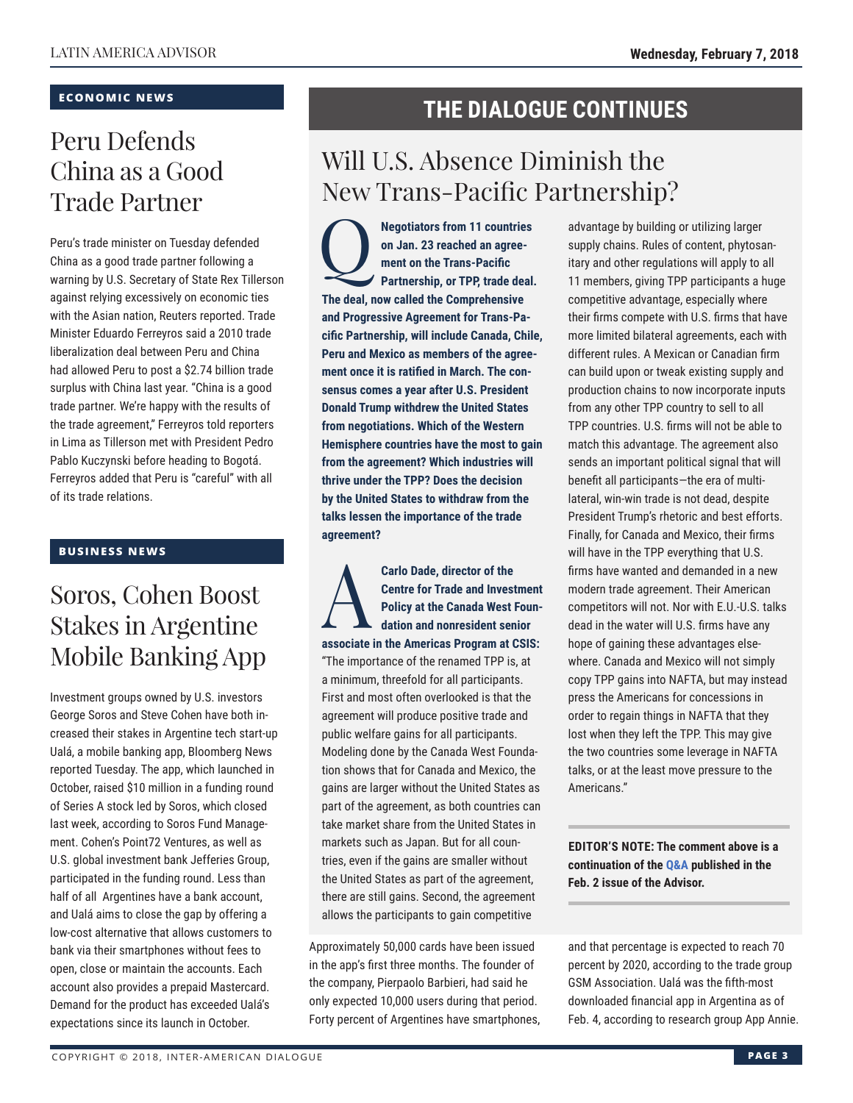### **ECONOMIC NEWS**

# Peru Defends China as a Good Trade Partner

Peru's trade minister on Tuesday defended China as a good trade partner following a warning by U.S. Secretary of State Rex Tillerson against relying excessively on economic ties with the Asian nation, Reuters reported. Trade Minister Eduardo Ferreyros said a 2010 trade liberalization deal between Peru and China had allowed Peru to post a \$2.74 billion trade surplus with China last year. "China is a good trade partner. We're happy with the results of the trade agreement," Ferreyros told reporters in Lima as Tillerson met with President Pedro Pablo Kuczynski before heading to Bogotá. Ferreyros added that Peru is "careful" with all of its trade relations.

### **BUSINESS NEWS**

# Soros, Cohen Boost Stakes in Argentine Mobile Banking App

Investment groups owned by U.S. investors George Soros and Steve Cohen have both increased their stakes in Argentine tech start-up Ualá, a mobile banking app, Bloomberg News reported Tuesday. The app, which launched in October, raised \$10 million in a funding round of Series A stock led by Soros, which closed last week, according to Soros Fund Management. Cohen's Point72 Ventures, as well as U.S. global investment bank Jefferies Group, participated in the funding round. Less than half of all Argentines have a bank account, and Ualá aims to close the gap by offering a low-cost alternative that allows customers to bank via their smartphones without fees to open, close or maintain the accounts. Each account also provides a prepaid Mastercard. Demand for the product has exceeded Ualá's expectations since its launch in October.

## **THE DIALOGUE CONTINUES**

# Will U.S. Absence Diminish the New Trans-Pacific Partnership?

**Partnership, or TPP, trade deal.**<br> **Partnership, or TPP, trade deal. on Jan. 23 reached an agreement on the Trans-Pacific The deal, now called the Comprehensive and Progressive Agreement for Trans-Pacific Partnership, will include Canada, Chile, Peru and Mexico as members of the agreement once it is ratified in March. The consensus comes a year after U.S. President Donald Trump withdrew the United States from negotiations. Which of the Western Hemisphere countries have the most to gain from the agreement? Which industries will thrive under the TPP? Does the decision by the United States to withdraw from the talks lessen the importance of the trade agreement?**

Carlo Dade, director of the<br>Centre for Trade and Invest<br>Policy at the Canada West I<br>dation and nonresident sen **Centre for Trade and Investment Policy at the Canada West Foundation and nonresident senior associate in the Americas Program at CSIS:** "The importance of the renamed TPP is, at a minimum, threefold for all participants. First and most often overlooked is that the agreement will produce positive trade and public welfare gains for all participants. Modeling done by the Canada West Foundation shows that for Canada and Mexico, the gains are larger without the United States as part of the agreement, as both countries can take market share from the United States in markets such as Japan. But for all countries, even if the gains are smaller without the United States as part of the agreement, there are still gains. Second, the agreement allows the participants to gain competitive

Approximately 50,000 cards have been issued in the app's first three months. The founder of the company, Pierpaolo Barbieri, had said he only expected 10,000 users during that period. Forty percent of Argentines have smartphones, advantage by building or utilizing larger supply chains. Rules of content, phytosanitary and other regulations will apply to all 11 members, giving TPP participants a huge competitive advantage, especially where their firms compete with U.S. firms that have more limited bilateral agreements, each with different rules. A Mexican or Canadian firm can build upon or tweak existing supply and production chains to now incorporate inputs from any other TPP country to sell to all TPP countries. U.S. firms will not be able to match this advantage. The agreement also sends an important political signal that will benefit all participants—the era of multilateral, win-win trade is not dead, despite President Trump's rhetoric and best efforts. Finally, for Canada and Mexico, their firms will have in the TPP everything that U.S. firms have wanted and demanded in a new modern trade agreement. Their American competitors will not. Nor with E.U.-U.S. talks dead in the water will U.S. firms have any hope of gaining these advantages elsewhere. Canada and Mexico will not simply copy TPP gains into NAFTA, but may instead press the Americans for concessions in order to regain things in NAFTA that they lost when they left the TPP. This may give the two countries some leverage in NAFTA talks, or at the least move pressure to the Americans."

**EDITOR'S NOTE: The comment above is a continuation of the Q&A published in the Feb. 2 issue of th[e Advisor.](http://www.thedialogue.org/wp-content/uploads/2018/02/LAA180202.pdf)**

and that percentage is expected to reach 70 percent by 2020, according to the trade group GSM Association. Ualá was the fifth-most downloaded financial app in Argentina as of Feb. 4, according to research group App Annie.